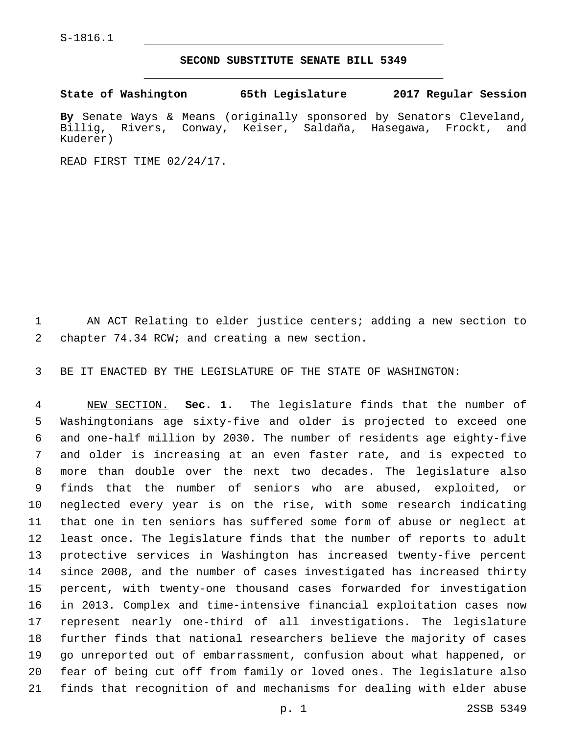S-1816.1

## **SECOND SUBSTITUTE SENATE BILL 5349**

**State of Washington 65th Legislature 2017 Regular Session**

**By** Senate Ways & Means (originally sponsored by Senators Cleveland, Billig, Rivers, Conway, Keiser, Saldaña, Hasegawa, Frockt, and Kuderer)

READ FIRST TIME 02/24/17.

 AN ACT Relating to elder justice centers; adding a new section to 2 chapter 74.34 RCW; and creating a new section.

BE IT ENACTED BY THE LEGISLATURE OF THE STATE OF WASHINGTON:

 NEW SECTION. **Sec. 1.** The legislature finds that the number of Washingtonians age sixty-five and older is projected to exceed one and one-half million by 2030. The number of residents age eighty-five and older is increasing at an even faster rate, and is expected to more than double over the next two decades. The legislature also finds that the number of seniors who are abused, exploited, or neglected every year is on the rise, with some research indicating that one in ten seniors has suffered some form of abuse or neglect at least once. The legislature finds that the number of reports to adult protective services in Washington has increased twenty-five percent since 2008, and the number of cases investigated has increased thirty percent, with twenty-one thousand cases forwarded for investigation in 2013. Complex and time-intensive financial exploitation cases now represent nearly one-third of all investigations. The legislature further finds that national researchers believe the majority of cases go unreported out of embarrassment, confusion about what happened, or fear of being cut off from family or loved ones. The legislature also finds that recognition of and mechanisms for dealing with elder abuse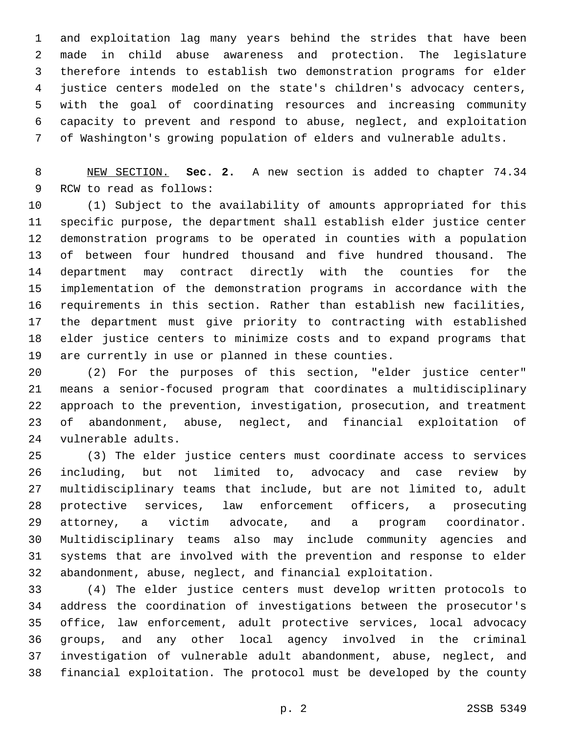and exploitation lag many years behind the strides that have been made in child abuse awareness and protection. The legislature therefore intends to establish two demonstration programs for elder justice centers modeled on the state's children's advocacy centers, with the goal of coordinating resources and increasing community capacity to prevent and respond to abuse, neglect, and exploitation of Washington's growing population of elders and vulnerable adults.

 NEW SECTION. **Sec. 2.** A new section is added to chapter 74.34 9 RCW to read as follows:

 (1) Subject to the availability of amounts appropriated for this specific purpose, the department shall establish elder justice center demonstration programs to be operated in counties with a population of between four hundred thousand and five hundred thousand. The department may contract directly with the counties for the implementation of the demonstration programs in accordance with the requirements in this section. Rather than establish new facilities, the department must give priority to contracting with established elder justice centers to minimize costs and to expand programs that are currently in use or planned in these counties.

 (2) For the purposes of this section, "elder justice center" means a senior-focused program that coordinates a multidisciplinary approach to the prevention, investigation, prosecution, and treatment of abandonment, abuse, neglect, and financial exploitation of 24 vulnerable adults.

 (3) The elder justice centers must coordinate access to services including, but not limited to, advocacy and case review by multidisciplinary teams that include, but are not limited to, adult protective services, law enforcement officers, a prosecuting attorney, a victim advocate, and a program coordinator. Multidisciplinary teams also may include community agencies and systems that are involved with the prevention and response to elder abandonment, abuse, neglect, and financial exploitation.

 (4) The elder justice centers must develop written protocols to address the coordination of investigations between the prosecutor's office, law enforcement, adult protective services, local advocacy groups, and any other local agency involved in the criminal investigation of vulnerable adult abandonment, abuse, neglect, and financial exploitation. The protocol must be developed by the county